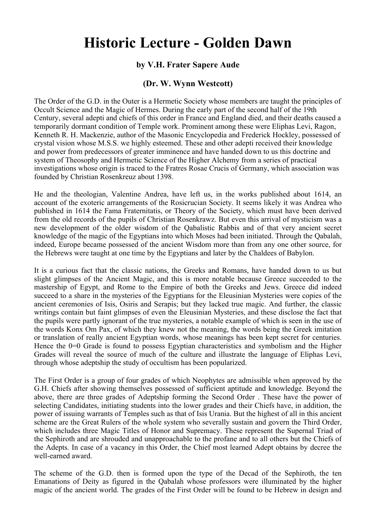## **Historic Lecture - Golden Dawn**

## **by V.H. Frater Sapere Aude**

## **(Dr. W. Wynn Westcott)**

The Order of the G.D. in the Outer is a Hermetic Society whose members are taught the principles of Occult Science and the Magic of Hermes. During the early part of the second half of the 19th Century, several adepti and chiefs of this order in France and England died, and their deaths caused a temporarily dormant condition of Temple work. Prominent among these were Eliphas Levi, Ragon, Kenneth R. H. Mackenzie, author of the Masonic Encyclopedia and Frederick Hockley, possessed of crystal vision whose M.S.S. we highly esteemed. These and other adepti received their knowledge and power from predecessors of greater imminence and have handed down to us this doctrine and system of Theosophy and Hermetic Science of the Higher Alchemy from a series of practical investigations whose origin is traced to the Fratres Rosae Crucis of Germany, which association was founded by Christian Rosenkreuz about 1398.

He and the theologian, Valentine Andrea, have left us, in the works published about 1614, an account of the exoteric arrangements of the Rosicrucian Society. It seems likely it was Andrea who published in 1614 the Fama Fraternitatis, or Theory of the Society, which must have been derived from the old records of the pupils of Christian Rosenkrawz. But even this arrival of mysticism was a new development of the older wisdom of the Qabalistic Rabbis and of that very ancient secret knowledge of the magic of the Egyptians into which Moses had been initiated. Through the Qabalah, indeed, Europe became possessed of the ancient Wisdom more than from any one other source, for the Hebrews were taught at one time by the Egyptians and later by the Chaldees of Babylon.

It is a curious fact that the classic nations, the Greeks and Romans, have handed down to us but slight glimpses of the Ancient Magic, and this is more notable because Greece succeeded to the mastership of Egypt, and Rome to the Empire of both the Greeks and Jews. Greece did indeed succeed to a share in the mysteries of the Egyptians for the Eleusinian Mysteries were copies of the ancient ceremonies of Isis, Osiris and Serapis; but they lacked true magic. And further, the classic writings contain but faint glimpses of even the Eleusinian Mysteries, and these disclose the fact that the pupils were partly ignorant of the true mysteries, a notable example of which is seen in the use of the words Konx Om Pax, of which they knew not the meaning, the words being the Greek imitation or translation of really ancient Egyptian words, whose meanings has been kept secret for centuries. Hence the 0=0 Grade is found to possess Egyptian characteristics and symbolism and the Higher Grades will reveal the source of much of the culture and illustrate the language of Eliphas Levi, through whose adeptship the study of occultism has been popularized.

The First Order is a group of four grades of which Neophytes are admissible when approved by the G.H. Chiefs after showing themselves possessed of sufficient aptitude and knowledge. Beyond the above, there are three grades of Adeptship forming the Second Order . These have the power of selecting Candidates, initiating students into the lower grades and their Chiefs have, in addition, the power of issuing warrants of Temples such as that of Isis Urania. But the highest of all in this ancient scheme are the Great Rulers of the whole system who severally sustain and govern the Third Order, which includes three Magic Titles of Honor and Supremacy. These represent the Supernal Triad of the Sephiroth and are shrouded and unapproachable to the profane and to all others but the Chiefs of the Adepts. In case of a vacancy in this Order, the Chief most learned Adept obtains by decree the well-earned award.

The scheme of the G.D. then is formed upon the type of the Decad of the Sephiroth, the ten Emanations of Deity as figured in the Qabalah whose professors were illuminated by the higher magic of the ancient world. The grades of the First Order will be found to be Hebrew in design and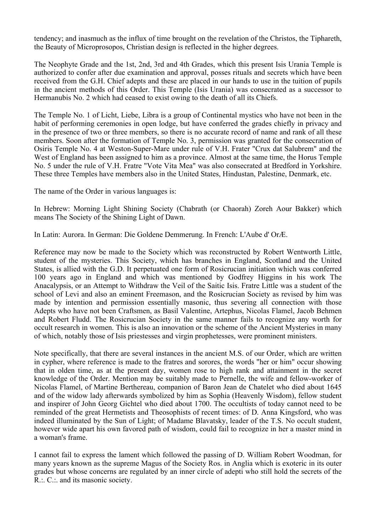tendency; and inasmuch as the influx of time brought on the revelation of the Christos, the Tiphareth, the Beauty of Microprosopos, Christian design is reflected in the higher degrees.

The Neophyte Grade and the 1st, 2nd, 3rd and 4th Grades, which this present Isis Urania Temple is authorized to confer after due examination and approval, posses rituals and secrets which have been received from the G.H. Chief adepts and these are placed in our hands to use in the tuition of pupils in the ancient methods of this Order. This Temple (Isis Urania) was consecrated as a successor to Hermanubis No. 2 which had ceased to exist owing to the death of all its Chiefs.

The Temple No. 1 of Licht, Liebe, Libra is a group of Continental mystics who have not been in the habit of performing ceremonies in open lodge, but have conferred the grades chiefly in privacy and in the presence of two or three members, so there is no accurate record of name and rank of all these members. Soon after the formation of Temple No. 3, permission was granted for the consecration of Osiris Temple No. 4 at Weston-Super-Mare under rule of V.H. Frater "Crux dat Salubrem" and the West of England has been assigned to him as a province. Almost at the same time, the Horus Temple No. 5 under the rule of V.H. Fratre "Vote Vita Mea" was also consecrated at Bredford in Yorkshire. These three Temples have members also in the United States, Hindustan, Palestine, Denmark, etc.

The name of the Order in various languages is:

In Hebrew: Morning Light Shining Society (Chabrath (or Chaorah) Zoreh Aour Bakker) which means The Society of the Shining Light of Dawn.

In Latin: Aurora. In German: Die Goldene Demmerung. In French: L'Aube d' OrÆ.

Reference may now be made to the Society which was reconstructed by Robert Wentworth Little, student of the mysteries. This Society, which has branches in England, Scotland and the United States, is allied with the G.D. It perpetuated one form of Rosicrucian initiation which was conferred 100 years ago in England and which was mentioned by Godfrey Higgins in his work The Anacalypsis, or an Attempt to Withdraw the Veil of the Saitic Isis. Fratre Little was a student of the school of Levi and also an eminent Freemason, and the Rosicrucian Society as revised by him was made by intention and permission essentially masonic, thus severing all connection with those Adepts who have not been Craftsmen, as Basil Valentine, Artephus, Nicolas Flamel, Jacob Behmen and Robert Fludd. The Rosicrucian Society in the same manner fails to recognize any worth for occult research in women. This is also an innovation or the scheme of the Ancient Mysteries in many of which, notably those of Isis priestesses and virgin prophetesses, were prominent ministers.

Note specifically, that there are several instances in the ancient M.S. of our Order, which are written in cypher, where reference is made to the fratres and sorores, the words "her or him" occur showing that in olden time, as at the present day, women rose to high rank and attainment in the secret knowledge of the Order. Mention may be suitably made to Pernelle, the wife and fellow-worker of Nicolas Flamel, of Martine Berthereau, companion of Baron Jean de Chatelet who died about 1645 and of the widow lady afterwards symbolized by him as Sophia (Heavenly Wisdom), fellow student and inspirer of John Georg Gichtel who died about 1700. The occultists of today cannot need to be reminded of the great Hermetists and Theosophists of recent times: of D. Anna Kingsford, who was indeed illuminated by the Sun of Light; of Madame Blavatsky, leader of the T.S. No occult student, however wide apart his own favored path of wisdom, could fail to recognize in her a master mind in a woman's frame.

I cannot fail to express the lament which followed the passing of D. William Robert Woodman, for many years known as the supreme Magus of the Society Ros. in Anglia which is exoteric in its outer grades but whose concerns are regulated by an inner circle of adepti who still hold the secrets of the R.:. C.:. and its masonic society.